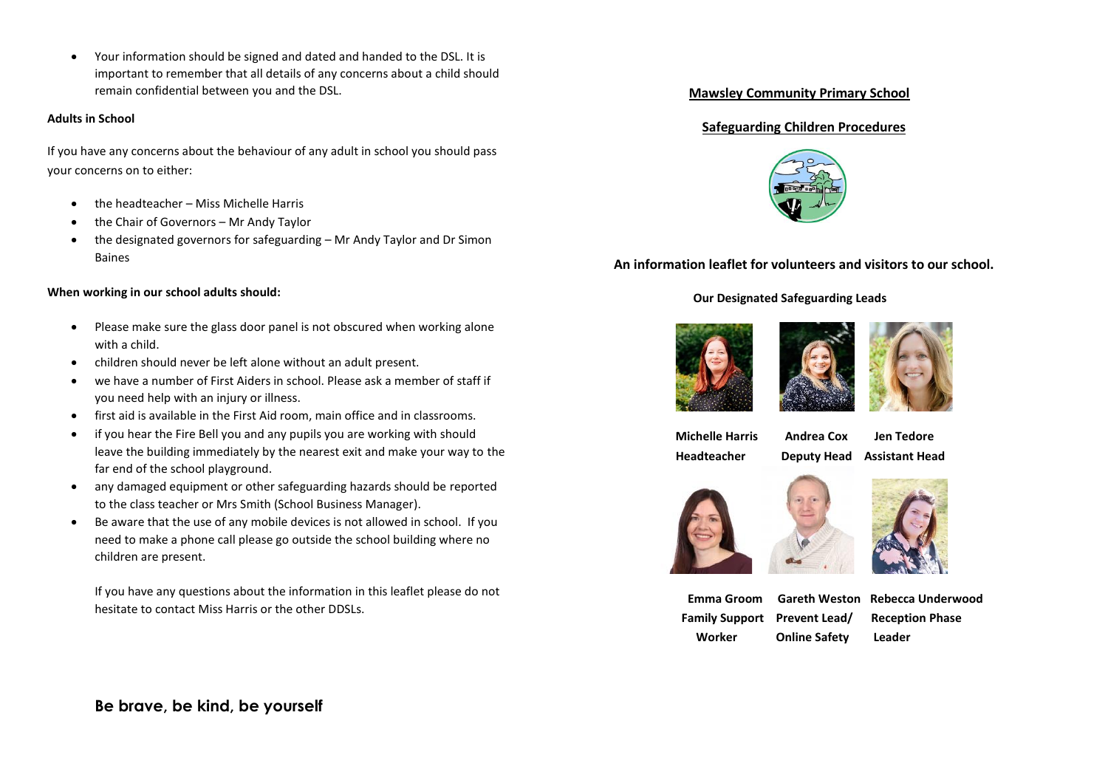Your information should be signed and dated and handed to the DSL. It is important to remember that all details of any concerns about a child should remain confidential between you and the DSL.

#### **Adults in School**

If you have any concerns about the behaviour of any adult in school you should pass your concerns on to either:

- the headteacher Miss Michelle Harris
- the Chair of Governors Mr Andy Taylor
- the designated governors for safeguarding Mr Andy Taylor and Dr Simon Baines

### **When working in our school adults should:**

- Please make sure the glass door panel is not obscured when working alone with a child.
- children should never be left alone without an adult present.
- we have a number of First Aiders in school. Please ask a member of staff if you need help with an injury or illness.
- first aid is available in the First Aid room, main office and in classrooms.
- if you hear the Fire Bell you and any pupils you are working with should leave the building immediately by the nearest exit and make your way to the far end of the school playground.
- any damaged equipment or other safeguarding hazards should be reported to the class teacher or Mrs Smith (School Business Manager).
- Be aware that the use of any mobile devices is not allowed in school. If you need to make a phone call please go outside the school building where no children are present.

If you have any questions about the information in this leaflet please do not hesitate to contact Miss Harris or the other DDSLs.

## **Mawsley Community Primary School**

## **Safeguarding Children Procedures**



**An information leaflet for volunteers and visitors to our school.**

## **Our Designated Safeguarding Leads**





 **Michelle Harris Andrea Cox Jen Tedore Headteacher Deputy Head Assistant Head**







 **Emma Groom Gareth Weston Rebecca Underwood Family Support Prevent Lead/ Reception Phase Worker Online Safety Leader**

## **Be brave, be kind, be yourself**